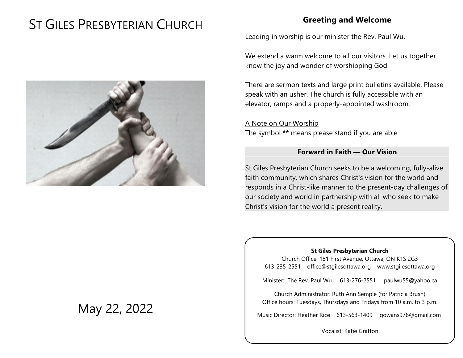# ST GILES PRESBYTERIAN CHURCH

## **Greeting and Welcome**

Leading in worship is our minister the Rev. Paul Wu.

We extend a warm welcome to all our visitors. Let us together know the joy and wonder of worshipping God.

There are sermon texts and large print bulletins available. Please speak with an usher. The church is fully accessible with an elevator, ramps and a properly-appointed washroom.

A Note on Our Worship The symbol **\*\*** means please stand if you are able

### **Forward in Faith — Our Vision**

St Giles Presbyterian Church seeks to be a welcoming, fully-alive faith community, which shares Christ's vision for the world and responds in a Christ-like manner to the present-day challenges of our society and world in partnership with all who seek to make Christ's vision for the world a present reality.

#### **St Giles Presbyterian Church**

Church Office, 181 First Avenue, Ottawa, ON K1S 2G3 613-235-2551 office@stgilesottawa.org www.stgilesottawa.org

Minister: The Rev. Paul Wu 613-276-2551 paulwu55@yahoo.ca

Church Administrator: Ruth Ann Semple (for Patricia Brush) Office hours: Tuesdays, Thursdays and Fridays from 10 a.m. to 3 p.m.

Music Director: Heather Rice 613-563-1409 gowans978@gmail.com

Vocalist: Katie Gratton



# May 22, 2022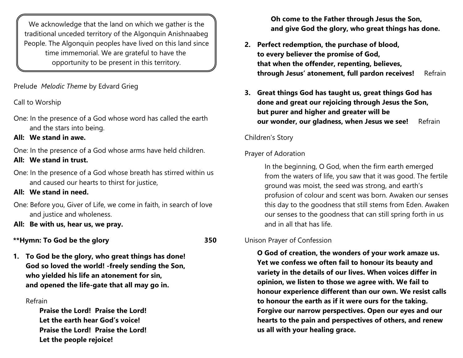We acknowledge that the land on which we gather is the traditional unceded territory of the Algonquin Anishnaabeg People. The Algonquin peoples have lived on this land since time immemorial. We are grateful to have the opportunity to be present in this territory.

Prelude*Melodic Theme* by Edvard Grieg

Call to Worship

One: In the presence of a God whose word has called the earth and the stars into being.

**All: We stand in awe.** 

One: In the presence of a God whose arms have held children.

**All: We stand in trust.** 

One: In the presence of a God whose breath has stirred within us and caused our hearts to thirst for justice,

**All: We stand in need.**

- One: Before you, Giver of Life, we come in faith, in search of love and justice and wholeness.
- **All: Be with us, hear us, we pray.**

**\*\*Hymn: To God be the glory 350**

**1. To God be the glory, who great things has done! God so loved the world! -freely sending the Son, who yielded his life an atonement for sin, and opened the life-gate that all may go in.**

Refrain

**Praise the Lord! Praise the Lord! Let the earth hear God's voice! Praise the Lord! Praise the Lord! Let the people rejoice!**

**Oh come to the Father through Jesus the Son, and give God the glory, who great things has done.**

- **2. Perfect redemption, the purchase of blood, to every believer the promise of God, that when the offender, repenting, believes, through Jesus' atonement, full pardon receives!** Refrain
- **3. Great things God has taught us, great things God has done and great our rejoicing through Jesus the Son, but purer and higher and greater will be our wonder, our gladness, when Jesus we see!** Refrain

## Children's Story

## Prayer of Adoration

In the beginning, O God, when the firm earth emerged from the waters of life, you saw that it was good. The fertile ground was moist, the seed was strong, and earth's profusion of colour and scent was born. Awaken our senses this day to the goodness that still stems from Eden. Awaken our senses to the goodness that can still spring forth in us and in all that has life.

## Unison Prayer of Confession

**O God of creation, the wonders of your work amaze us. Yet we confess we often fail to honour its beauty and variety in the details of our lives. When voices differ in opinion, we listen to those we agree with. We fail to honour experience different than our own. We resist calls to honour the earth as if it were ours for the taking. Forgive our narrow perspectives. Open our eyes and our hearts to the pain and perspectives of others, and renew us all with your healing grace.**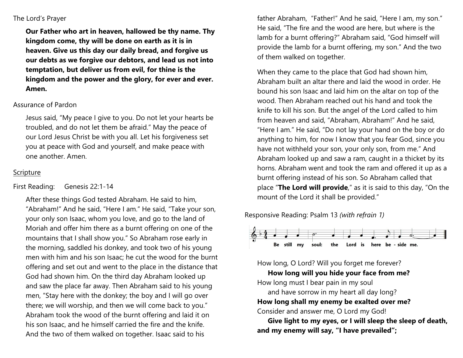#### The Lord's Prayer

**Our Father who art in heaven, hallowed be thy name. Thy kingdom come, thy will be done on earth as it is in heaven. Give us this day our daily bread, and forgive us our debts as we forgive our debtors, and lead us not into temptation, but deliver us from evil, for thine is the kingdom and the power and the glory, for ever and ever. Amen.**

#### Assurance of Pardon

Jesus said, "My peace I give to you. Do not let your hearts be troubled, and do not let them be afraid." May the peace of our Lord Jesus Christ be with you all. Let his forgiveness set you at peace with God and yourself, and make peace with one another. Amen.

#### Scripture

#### First Reading: Genesis 22:1-14

After these things God tested Abraham. He said to him, "Abraham!" And he said, "Here I am." He said, "Take your son, your only son Isaac, whom you love, and go to the land of Moriah and offer him there as a burnt offering on one of the mountains that I shall show you." So Abraham rose early in the morning, saddled his donkey, and took two of his young men with him and his son Isaac; he cut the wood for the burnt offering and set out and went to the place in the distance that God had shown him. On the third day Abraham looked up and saw the place far away. Then Abraham said to his young men, "Stay here with the donkey; the boy and I will go over there; we will worship, and then we will come back to you." Abraham took the wood of the burnt offering and laid it on his son Isaac, and he himself carried the fire and the knife. And the two of them walked on together. Isaac said to his

father Abraham, "Father!" And he said, "Here I am, my son." He said, "The fire and the wood are here, but where is the lamb for a burnt offering?" Abraham said, "God himself will provide the lamb for a burnt offering, my son." And the two of them walked on together.

When they came to the place that God had shown him, Abraham built an altar there and laid the wood in order. He bound his son Isaac and laid him on the altar on top of the wood. Then Abraham reached out his hand and took the knife to kill his son. But the angel of the Lord called to him from heaven and said, "Abraham, Abraham!" And he said, "Here I am." He said, "Do not lay your hand on the boy or do anything to him, for now I know that you fear God, since you have not withheld your son, your only son, from me." And Abraham looked up and saw a ram, caught in a thicket by its horns. Abraham went and took the ram and offered it up as a burnt offering instead of his son. So Abraham called that place "**The Lord will provide**," as it is said to this day, "On the mount of the Lord it shall be provided."

Responsive Reading: Psalm 13 *(with refrain 1)*



How long, O Lord? Will you forget me forever?

**How long will you hide your face from me?**  How long must I bear pain in my soul

and have sorrow in my heart all day long? **How long shall my enemy be exalted over me?**  Consider and answer me, O Lord my God!

**Give light to my eyes, or I will sleep the sleep of death, and my enemy will say, "I have prevailed";**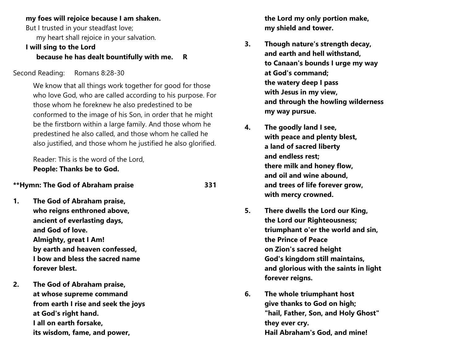#### **my foes will rejoice because I am shaken.**

But I trusted in your steadfast love; my heart shall rejoice in your salvation.

## **I will sing to the Lord because he has dealt bountifully with me. R**

#### Second Reading: Romans 8:28-30

We know that all things work together for good for those who love God, who are called according to his purpose. For those whom he foreknew he also predestined to be conformed to the image of his Son, in order that he might be the firstborn within a large family. And those whom he predestined he also called, and those whom he called he also justified, and those whom he justified he also glorified.

Reader: This is the word of the Lord, **People: Thanks be to God.**

### **\*\*Hymn: The God of Abraham praise 331**

- **1. The God of Abraham praise, who reigns enthroned above, ancient of everlasting days, and God of love. Almighty, great I Am! by earth and heaven confessed, I bow and bless the sacred name forever blest.**
- **2. The God of Abraham praise, at whose supreme command from earth I rise and seek the joys at God's right hand. I all on earth forsake, its wisdom, fame, and power,**

**the Lord my only portion make, my shield and tower.**

- **3. Though nature's strength decay, and earth and hell withstand, to Canaan's bounds I urge my way at God's command; the watery deep I pass with Jesus in my view, and through the howling wilderness my way pursue.**
- **4. The goodly land I see, with peace and plenty blest, a land of sacred liberty and endless rest; there milk and honey flow, and oil and wine abound, and trees of life forever grow, with mercy crowned.**
- **5. There dwells the Lord our King, the Lord our Righteousness; triumphant o'er the world and sin, the Prince of Peace on Zion's sacred height God's kingdom still maintains, and glorious with the saints in light forever reigns.**
- **6. The whole triumphant host give thanks to God on high; "hail, Father, Son, and Holy Ghost" they ever cry. Hail Abraham's God, and mine!**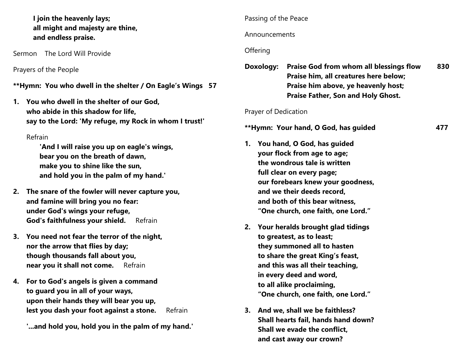**I join the heavenly lays; all might and majesty are thine, and endless praise.**

Sermon The Lord Will Provide

Prayers of the People

**\*\*Hymn: You who dwell in the shelter / On Eagle's Wings 57**

**1. You who dwell in the shelter of our God, who abide in this shadow for life, say to the Lord: 'My refuge, my Rock in whom I trust!'**

#### Refrain

**'And I will raise you up on eagle's wings, bear you on the breath of dawn, make you to shine like the sun, and hold you in the palm of my hand.'**

- **2. The snare of the fowler will never capture you, and famine will bring you no fear: under God's wings your refuge, God's faithfulness your shield.** Refrain
- **3. You need not fear the terror of the night, nor the arrow that flies by day; though thousands fall about you, near you it shall not come.** Refrain
- **4. For to God's angels is given a command to guard you in all of your ways, upon their hands they will bear you up, lest you dash your foot against a stone.** Refrain

**'...and hold you, hold you in the palm of my hand.'**

Passing of the Peace

Announcements

#### **Offering**

**Doxology: Praise God from whom all blessings flow 830 Praise him, all creatures here below; Praise him above, ye heavenly host; Praise Father, Son and Holy Ghost.**

#### Prayer of Dedication

**\*\*Hymn: Your hand, O God, has guided 477**

- **1. You hand, O God, has guided your flock from age to age; the wondrous tale is written full clear on every page; our forebears knew your goodness, and we their deeds record, and both of this bear witness, "One church, one faith, one Lord."**
- **2. Your heralds brought glad tidings to greatest, as to least; they summoned all to hasten to share the great King's feast, and this was all their teaching, in every deed and word, to all alike proclaiming, "One church, one faith, one Lord."**
- **3. And we, shall we be faithless? Shall hearts fail, hands hand down? Shall we evade the conflict, and cast away our crown?**